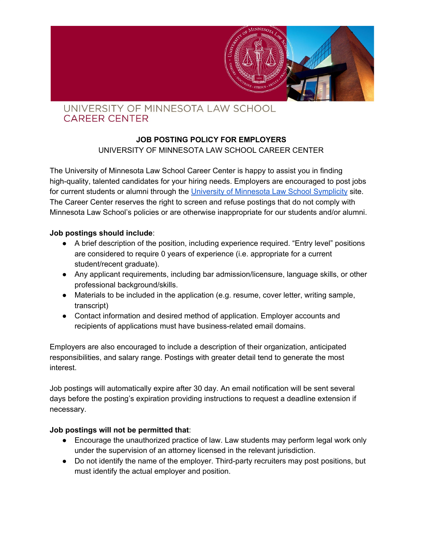

## UNIVERSITY OF MINNESOTA LAW SCHOOL **CAREER CENTER**

## **JOB POSTING POLICY FOR EMPLOYERS**

UNIVERSITY OF MINNESOTA LAW SCHOOL CAREER CENTER

The University of Minnesota Law School Career Center is happy to assist you in finding high-quality, talented candidates for your hiring needs. Employers are encouraged to post jobs for current students or alumni through the University of [Minnesota](https://law-umn-csm.symplicity.com/) Law School Symplicity site. The Career Center reserves the right to screen and refuse postings that do not comply with Minnesota Law School's policies or are otherwise inappropriate for our students and/or alumni.

## **Job postings should include**:

- A brief description of the position, including experience required. "Entry level" positions are considered to require 0 years of experience (i.e. appropriate for a current student/recent graduate).
- Any applicant requirements, including bar admission/licensure, language skills, or other professional background/skills.
- Materials to be included in the application (e.g. resume, cover letter, writing sample, transcript)
- Contact information and desired method of application. Employer accounts and recipients of applications must have business-related email domains.

Employers are also encouraged to include a description of their organization, anticipated responsibilities, and salary range. Postings with greater detail tend to generate the most interest.

Job postings will automatically expire after 30 day. An email notification will be sent several days before the posting's expiration providing instructions to request a deadline extension if necessary.

#### **Job postings will not be permitted that**:

- Encourage the unauthorized practice of law. Law students may perform legal work only under the supervision of an attorney licensed in the relevant jurisdiction.
- Do not identify the name of the employer. Third-party recruiters may post positions, but must identify the actual employer and position.